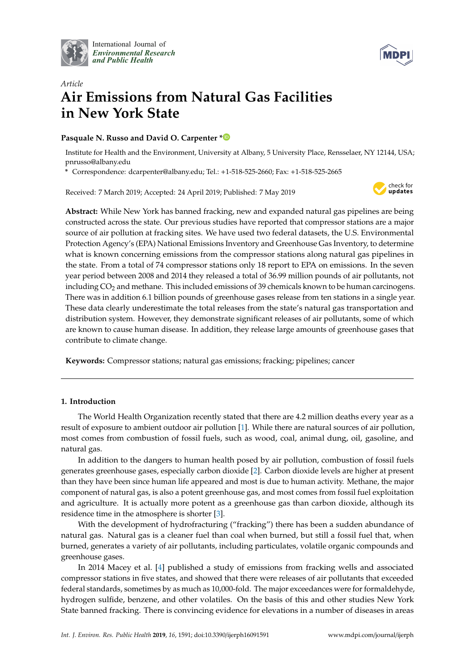

International Journal of *[Environmental Research](http://www.mdpi.com/journal/ijerph) and Public Health*



# *Article* **Air Emissions from Natural Gas Facilities in New York State**

### **Pasquale N. Russo and David O. Carpenter [\\*](https://orcid.org/0000-0003-4841-394X)**

Institute for Health and the Environment, University at Albany, 5 University Place, Rensselaer, NY 12144, USA; pnrusso@albany.edu

**\*** Correspondence: dcarpenter@albany.edu; Tel.: +1-518-525-2660; Fax: +1-518-525-2665

Received: 7 March 2019; Accepted: 24 April 2019; Published: 7 May 2019



**Abstract:** While New York has banned fracking, new and expanded natural gas pipelines are being constructed across the state. Our previous studies have reported that compressor stations are a major source of air pollution at fracking sites. We have used two federal datasets, the U.S. Environmental Protection Agency's (EPA) National Emissions Inventory and Greenhouse Gas Inventory, to determine what is known concerning emissions from the compressor stations along natural gas pipelines in the state. From a total of 74 compressor stations only 18 report to EPA on emissions. In the seven year period between 2008 and 2014 they released a total of 36.99 million pounds of air pollutants, not including CO<sub>2</sub> and methane. This included emissions of 39 chemicals known to be human carcinogens. There was in addition 6.1 billion pounds of greenhouse gases release from ten stations in a single year. These data clearly underestimate the total releases from the state's natural gas transportation and distribution system. However, they demonstrate significant releases of air pollutants, some of which are known to cause human disease. In addition, they release large amounts of greenhouse gases that contribute to climate change.

**Keywords:** Compressor stations; natural gas emissions; fracking; pipelines; cancer

### **1. Introduction**

The World Health Organization recently stated that there are 4.2 million deaths every year as a result of exposure to ambient outdoor air pollution [\[1\]](#page-7-0). While there are natural sources of air pollution, most comes from combustion of fossil fuels, such as wood, coal, animal dung, oil, gasoline, and natural gas.

In addition to the dangers to human health posed by air pollution, combustion of fossil fuels generates greenhouse gases, especially carbon dioxide [\[2\]](#page-7-1). Carbon dioxide levels are higher at present than they have been since human life appeared and most is due to human activity. Methane, the major component of natural gas, is also a potent greenhouse gas, and most comes from fossil fuel exploitation and agriculture. It is actually more potent as a greenhouse gas than carbon dioxide, although its residence time in the atmosphere is shorter [\[3\]](#page-7-2).

With the development of hydrofracturing ("fracking") there has been a sudden abundance of natural gas. Natural gas is a cleaner fuel than coal when burned, but still a fossil fuel that, when burned, generates a variety of air pollutants, including particulates, volatile organic compounds and greenhouse gases.

In 2014 Macey et al. [\[4\]](#page-7-3) published a study of emissions from fracking wells and associated compressor stations in five states, and showed that there were releases of air pollutants that exceeded federal standards, sometimes by as much as 10,000-fold. The major exceedances were for formaldehyde, hydrogen sulfide, benzene, and other volatiles. On the basis of this and other studies New York State banned fracking. There is convincing evidence for elevations in a number of diseases in areas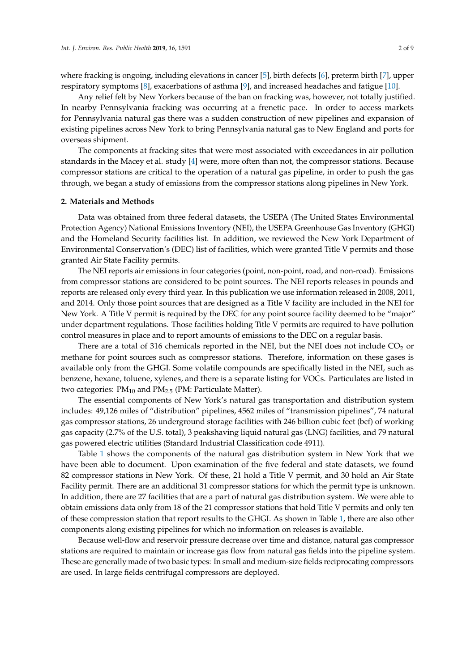where fracking is ongoing, including elevations in cancer [\[5\]](#page-7-4), birth defects [\[6\]](#page-7-5), preterm birth [\[7\]](#page-7-6), upper respiratory symptoms [\[8\]](#page-7-7), exacerbations of asthma [\[9\]](#page-7-8), and increased headaches and fatigue [\[10\]](#page-7-9).

Any relief felt by New Yorkers because of the ban on fracking was, however, not totally justified. In nearby Pennsylvania fracking was occurring at a frenetic pace. In order to access markets for Pennsylvania natural gas there was a sudden construction of new pipelines and expansion of existing pipelines across New York to bring Pennsylvania natural gas to New England and ports for overseas shipment.

The components at fracking sites that were most associated with exceedances in air pollution standards in the Macey et al. study [\[4\]](#page-7-3) were, more often than not, the compressor stations. Because compressor stations are critical to the operation of a natural gas pipeline, in order to push the gas through, we began a study of emissions from the compressor stations along pipelines in New York.

#### **2. Materials and Methods**

Data was obtained from three federal datasets, the USEPA (The United States Environmental Protection Agency) National Emissions Inventory (NEI), the USEPA Greenhouse Gas Inventory (GHGI) and the Homeland Security facilities list. In addition, we reviewed the New York Department of Environmental Conservation's (DEC) list of facilities, which were granted Title V permits and those granted Air State Facility permits.

The NEI reports air emissions in four categories (point, non-point, road, and non-road). Emissions from compressor stations are considered to be point sources. The NEI reports releases in pounds and reports are released only every third year. In this publication we use information released in 2008, 2011, and 2014. Only those point sources that are designed as a Title V facility are included in the NEI for New York. A Title V permit is required by the DEC for any point source facility deemed to be "major" under department regulations. Those facilities holding Title V permits are required to have pollution control measures in place and to report amounts of emissions to the DEC on a regular basis.

There are a total of 316 chemicals reported in the NEI, but the NEI does not include  $CO<sub>2</sub>$  or methane for point sources such as compressor stations. Therefore, information on these gases is available only from the GHGI. Some volatile compounds are specifically listed in the NEI, such as benzene, hexane, toluene, xylenes, and there is a separate listing for VOCs. Particulates are listed in two categories:  $PM_{10}$  and  $PM_{2.5}$  (PM: Particulate Matter).

The essential components of New York's natural gas transportation and distribution system includes: 49,126 miles of "distribution" pipelines, 4562 miles of "transmission pipelines", 74 natural gas compressor stations, 26 underground storage facilities with 246 billion cubic feet (bcf) of working gas capacity (2.7% of the U.S. total), 3 peakshaving liquid natural gas (LNG) facilities, and 79 natural gas powered electric utilities (Standard Industrial Classification code 4911).

Table [1](#page-2-0) shows the components of the natural gas distribution system in New York that we have been able to document. Upon examination of the five federal and state datasets, we found 82 compressor stations in New York. Of these, 21 hold a Title V permit, and 30 hold an Air State Facility permit. There are an additional 31 compressor stations for which the permit type is unknown. In addition, there are 27 facilities that are a part of natural gas distribution system. We were able to obtain emissions data only from 18 of the 21 compressor stations that hold Title V permits and only ten of these compression station that report results to the GHGI. As shown in Table [1,](#page-2-0) there are also other components along existing pipelines for which no information on releases is available.

Because well-flow and reservoir pressure decrease over time and distance, natural gas compressor stations are required to maintain or increase gas flow from natural gas fields into the pipeline system. These are generally made of two basic types: In small and medium-size fields reciprocating compressors are used. In large fields centrifugal compressors are deployed.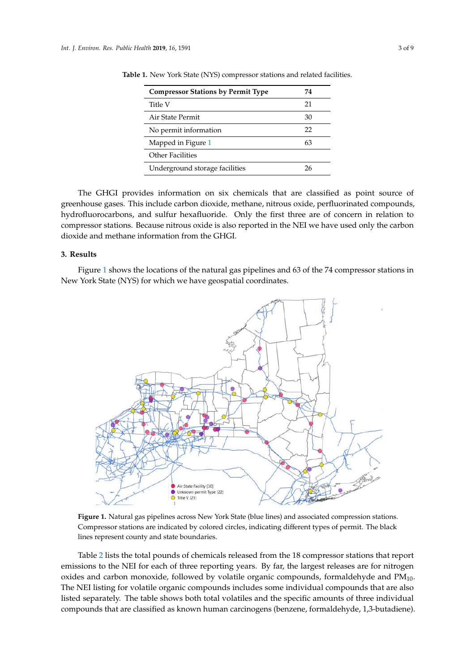<span id="page-2-0"></span>

| <b>Compressor Stations by Permit Type</b> | 74 |
|-------------------------------------------|----|
| Title V                                   | 21 |
| Air State Permit                          | 30 |
| No permit information                     |    |
| Mapped in Figure 1                        | 63 |
| Other Facilities                          |    |
| Underground storage facilities            | 26 |

**Table 1.** New York State (NYS) compressor stations and related facilities.

The GHGI provides information on six chemicals that are classified as point source of greenhouse gases. This include carbon dioxide, methane, nitrous oxide, perfluorinated compounds, hydrofluorocarbons, and sulfur hexafluoride. Only the first three are of concern in relation to compressor stations. Because nitrous oxide is also reported in the NEI we have used only the carbon dioxide and methane information from the GHGI.  $T$  generation on six chemicals that are classified as point source of  $\frac{1}{2}$ Fire GHGT provides information on six chemicals that are classified as point source compressor stations. Decause information by and

## **3. Results 3. Results**

Figure [1](#page-2-1) shows the locations of the natural gas pipelines and 63 of the 74 compressor stations in Figure 1 shows the locations of the natural gas pipelines and 63 of the 74 compressor stations in New York State (NYS) for which we have geospatial coordinates. New York State (NYS) for which we have geospatial coordinates.

<span id="page-2-1"></span>

Compressor stations are indicated by colored circles, indicating different types of permit. The black lines represent county and state boundaries. **Figure 1.** Natural gas pipelines across New York State (blue lines) and associated compression stations.

Table [2](#page-3-0) lists the total pounds of chemicals released from the 18 compressor stations that report emissions to the NEI for each of three reporting years. By far, the largest releases are for nitrogen oxides and carbon monoxide, followed by volatile organic compounds, formaldehyde and  $PM_{10}$ . The NEI listing for volatile organic compounds includes some individual compounds that are also listed separately. The table shows both total volatiles and the specific amounts of three individual compounds that are classified as known human carcinogens (benzene, formaldehyde, 1,3-butadiene).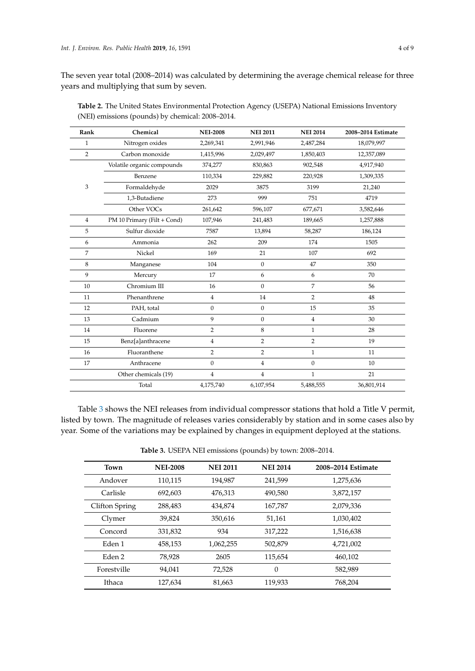The seven year total (2008–2014) was calculated by determining the average chemical release for three years and multiplying that sum by seven.

| Rank           | Chemical                    | <b>NEI-2008</b> | <b>NEI 2011</b> | <b>NEI 2014</b>  | 2008-2014 Estimate |
|----------------|-----------------------------|-----------------|-----------------|------------------|--------------------|
| $\mathbf{1}$   | Nitrogen oxides             | 2,269,341       | 2,991,946       | 2,487,284        | 18,079,997         |
| 2              | Carbon monoxide             | 1,415,996       | 2,029,497       | 1,850,403        | 12,357,089         |
|                | Volatile organic compounds  | 374,277         | 830,863         | 902,548          | 4,917,940          |
| 3              | Benzene                     | 110,334         | 229,882         | 220,928          | 1,309,335          |
|                | Formaldehyde                | 2029            | 3875            | 3199             | 21,240             |
|                | 1,3-Butadiene               | 273             | 999             | 751              | 4719               |
|                | Other VOCs                  | 261,642         | 596,107         | 677,671          | 3,582,646          |
| $\overline{4}$ | PM 10 Primary (Filt + Cond) | 107,946         | 241,483         | 189,665          | 1,257,888          |
| 5              | Sulfur dioxide              | 7587            | 13,894          | 58,287           | 186,124            |
| 6              | Ammonia                     | 262             | 209             | 174              | 1505               |
| 7              | Nickel                      | 169             | 21              | 107              | 692                |
| 8              | Manganese                   | 104             | $\mathbf{0}$    | 47               | 350                |
| 9              | Mercury                     | 17              | 6               | 6                | 70                 |
| 10             | Chromium III                | 16              | $\mathbf{0}$    | $\overline{7}$   | 56                 |
| 11             | Phenanthrene                | 4               | 14              | $\overline{2}$   | 48                 |
| 12             | PAH, total                  | $\mathbf{0}$    | $\mathbf{0}$    | 15               | 35                 |
| 13             | Cadmium                     | 9               | $\mathbf{0}$    | $\overline{4}$   | 30                 |
| 14             | Fluorene                    | 2               | 8               | $\mathbf{1}$     | 28                 |
| 15             | Benz[a]anthracene           | $\overline{4}$  | $\overline{2}$  | $\overline{2}$   | 19                 |
| 16             | Fluoranthene                | $\overline{2}$  | 2               | $\mathbf{1}$     | 11                 |
| 17             | Anthracene                  | $\mathbf{0}$    | $\overline{4}$  | $\boldsymbol{0}$ | 10                 |
|                | Other chemicals (19)        | $\overline{4}$  | $\overline{4}$  | $\mathbf{1}$     | 21                 |
|                | Total                       | 4,175,740       | 6,107,954       | 5,488,555        | 36,801,914         |

<span id="page-3-0"></span>**Table 2.** The United States Environmental Protection Agency (USEPA) National Emissions Inventory (NEI) emissions (pounds) by chemical: 2008–2014.

Table [3](#page-4-0) shows the NEI releases from individual compressor stations that hold a Title V permit, listed by town. The magnitude of releases varies considerably by station and in some cases also by year. Some of the variations may be explained by changes in equipment deployed at the stations.

**Table 3.** USEPA NEI emissions (pounds) by town: 2008–2014.

| Town           | <b>NEI-2008</b> | <b>NEI 2011</b> | <b>NEI 2014</b> | 2008-2014 Estimate |
|----------------|-----------------|-----------------|-----------------|--------------------|
| Andover        | 110,115         | 194,987         | 241,599         | 1,275,636          |
| Carlisle       | 692,603         | 476.313         | 490,580         | 3,872,157          |
| Clifton Spring | 288,483         | 434,874         | 167,787         | 2,079,336          |
| Clymer         | 39,824          | 350,616         | 51,161          | 1,030,402          |
| Concord        | 331,832         | 934             | 317,222         | 1,516,638          |
| Eden 1         | 458,153         | 1,062,255       | 502,879         | 4,721,002          |
| Eden 2         | 78,928          | 2605            | 115,654         | 460,102            |
| Forestville    | 94.041          | 72,528          | $\theta$        | 582,989            |
| Ithaca         | 127,634         | 81,663          | 119,933         | 768,204            |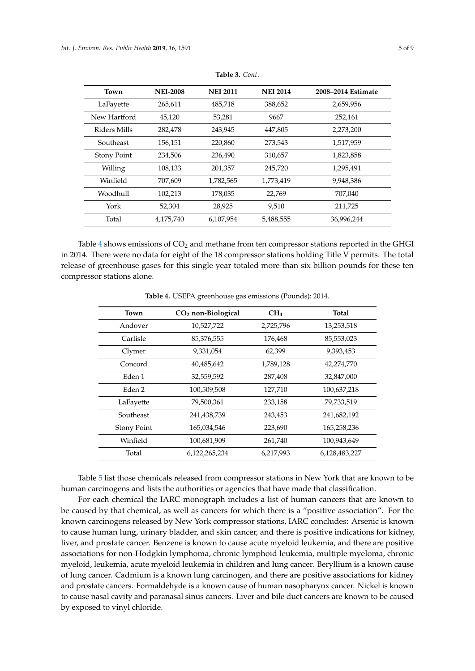| 14 | 2008–2014 Estimate |  |
|----|--------------------|--|

<span id="page-4-0"></span>

| Town               | <b>NEI-2008</b> | <b>NEI 2011</b> | <b>NEI 2014</b> | 2008–2014 Estimate |
|--------------------|-----------------|-----------------|-----------------|--------------------|
| LaFayette          | 265,611         | 485,718         | 388,652         | 2,659,956          |
| New Hartford       | 45,120          | 53,281          | 9667            | 252,161            |
| Riders Mills       | 282,478         | 243,945         | 447,805         | 2,273,200          |
| Southeast          | 156,151         | 220,860         | 273,543         | 1,517,959          |
| <b>Stony Point</b> | 234,506         | 236,490         | 310,657         | 1,823,858          |
| Willing            | 108,133         | 201,357         | 245,720         | 1,295,491          |
| Winfield           | 707,609         | 1,782,565       | 1,773,419       | 9,948,386          |
| Woodhull           | 102,213         | 178,035         | 22,769          | 707,040            |
| York               | 52,304          | 28,925          | 9,510           | 211,725            |
| Total              | 4,175,740       | 6,107,954       | 5,488,555       | 36,996,244         |

**Table 3.** *Cont*.

Table [4](#page-4-1) shows emissions of  $CO<sub>2</sub>$  and methane from ten compressor stations reported in the GHGI in 2014. There were no data for eight of the 18 compressor stations holding Title V permits. The total release of greenhouse gases for this single year totaled more than six billion pounds for these ten compressor stations alone.

<span id="page-4-1"></span>

| Town               | CO <sub>2</sub> non-Biological | CH <sub>4</sub> | Total         |
|--------------------|--------------------------------|-----------------|---------------|
| Andover            | 10,527,722                     | 2,725,796       | 13,253,518    |
| Carlisle           | 85,376,555                     | 176,468         | 85,553,023    |
| Clymer             | 9,331,054                      | 62,399          | 9,393,453     |
| Concord            | 40,485,642                     | 1,789,128       | 42,274,770    |
| Eden 1             | 32,559,592                     | 287,408         | 32,847,000    |
| Eden 2             | 100,509,508                    | 127,710         | 100,637,218   |
| LaFayette          | 79,500,361                     | 233,158         | 79,733,519    |
| Southeast          | 241,438,739                    | 243,453         | 241,682,192   |
| <b>Stony Point</b> | 165,034,546                    | 223,690         | 165,258,236   |
| Winfield           | 100,681,909                    | 261,740         | 100,943,649   |
| Total              | 6,122,265,234                  | 6,217,993       | 6,128,483,227 |

**Table 4.** USEPA greenhouse gas emissions (Pounds): 2014.

Table [5](#page-5-0) list those chemicals released from compressor stations in New York that are known to be human carcinogens and lists the authorities or agencies that have made that classification.

For each chemical the IARC monograph includes a list of human cancers that are known to be caused by that chemical, as well as cancers for which there is a "positive association". For the known carcinogens released by New York compressor stations, IARC concludes: Arsenic is known to cause human lung, urinary bladder, and skin cancer, and there is positive indications for kidney, liver, and prostate cancer. Benzene is known to cause acute myeloid leukemia, and there are positive associations for non-Hodgkin lymphoma, chronic lymphoid leukemia, multiple myeloma, chronic myeloid, leukemia, acute myeloid leukemia in children and lung cancer. Beryllium is a known cause of lung cancer. Cadmium is a known lung carcinogen, and there are positive associations for kidney and prostate cancers. Formaldehyde is a known cause of human nasopharynx cancer. Nickel is known to cause nasal cavity and paranasal sinus cancers. Liver and bile duct cancers are known to be caused by exposed to vinyl chloride.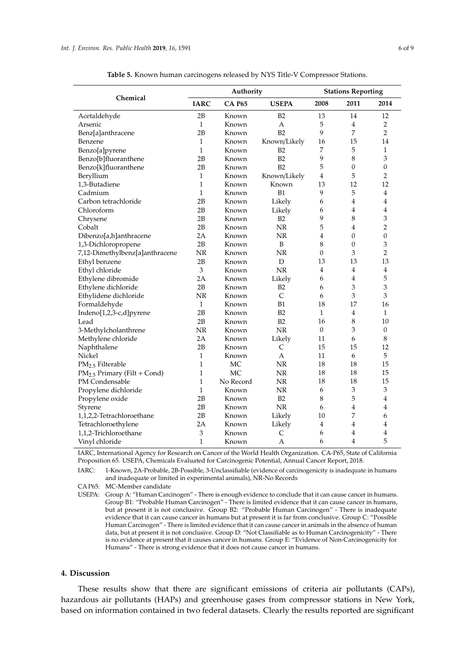<span id="page-5-0"></span>

|                                  | Authority    |               |                | <b>Stations Reporting</b> |                  |                  |
|----------------------------------|--------------|---------------|----------------|---------------------------|------------------|------------------|
| Chemical                         | <b>IARC</b>  | <b>CA P65</b> | <b>USEPA</b>   | 2008                      | 2011             | 2014             |
| Acetaldehyde                     | 2B           | Known         | B2             | 13                        | 14               | 12               |
| Arsenic                          | $\mathbf{1}$ | Known         | A              | 5                         | 4                | $\overline{2}$   |
| Benz[a]anthracene                | 2B           | Known         | B2             | 9                         | 7                | $\overline{2}$   |
| Benzene                          | 1            | Known         | Known/Likely   | 16                        | 15               | 14               |
| Benzo[a]pyrene                   | $\mathbf{1}$ | Known         | B2             | 7                         | 5                | 1                |
| Benzo[b]fluoranthene             | 2B           | Known         | B2             | 9                         | 8                | 3                |
| Benzo[k]fluoranthene             | 2B           | Known         | B2             | 5                         | $\boldsymbol{0}$ | $\boldsymbol{0}$ |
| Beryllium                        | $\mathbf{1}$ | Known         | Known/Likely   | 4                         | 5                | $\overline{2}$   |
| 1,3-Butadiene                    | $\mathbf{1}$ | Known         | Known          | 13                        | 12               | 12               |
| Cadmium                          | $\mathbf{1}$ | Known         | B1             | 9                         | 5                | $\overline{4}$   |
| Carbon tetrachloride             | 2B           | Known         | Likely         | 6                         | 4                | 4                |
| Chloroform                       | 2B           | Known         | Likely         | 6                         | 4                | 4                |
| Chrysene                         | 2B           | Known         | B2             | 9                         | 8                | 3                |
| Cobalt                           | 2B           | Known         | NR             | 5                         | 4                | $\overline{2}$   |
| Dibenzo[a,h]anthracene           | 2A           | Known         | NR             | 4                         | $\overline{0}$   | $\overline{0}$   |
| 1,3-Dichloropropene              | 2B           | Known         | B              | 8                         | $\boldsymbol{0}$ | 3                |
| 7,12-Dimethylbenz[a]anthracene   | NR           | Known         | NR             | $\theta$                  | 3                | $\overline{2}$   |
| Ethyl benzene                    | 2B           | Known         | D              | 13                        | 13               | 13               |
| Ethyl chloride                   | 3            | Known         | NR             | 4                         | $\overline{4}$   | $\bf 4$          |
| Ethylene dibromide               | 2Α           | Known         | Likely         | 6                         | 4                | 5                |
| Ethylene dichloride              | 2B           | Known         | B <sub>2</sub> | 6                         | 3                | 3                |
| Ethylidene dichloride            | NR           | Known         | $\mathsf{C}$   | 6                         | 3                | 3                |
| Formaldehyde                     | $\mathbf{1}$ | Known         | B1             | 18                        | 17               | 16               |
| Indeno[1,2,3-c,d]pyrene          | 2B           | Known         | B2             | $\mathbf{1}$              | 4                | $\mathbf{1}$     |
| Lead                             | 2B           | Known         | B2             | 16                        | 8                | 10               |
| 3-Methylcholanthrene             | NR           | Known         | <b>NR</b>      | $\overline{0}$            | 3                | $\overline{0}$   |
| Methylene chloride               | 2A           | Known         | Likely         | 11                        | 6                | 8                |
| Naphthalene                      | 2B           | Known         | C              | 15                        | 15               | 12               |
| Nickel                           | 1            | Known         | А              | 11                        | 6                | 5                |
| PM <sub>2.5</sub> Filterable     | $\mathbf{1}$ | MC            | NR             | 18                        | 18               | 15               |
| $PM_{2.5}$ Primary (Filt + Cond) | $\mathbf{1}$ | МC            | NR             | 18                        | 18               | 15               |
| PM Condensable                   | $\mathbf{1}$ | No Record     | NR             | 18                        | 18               | 15               |
| Propylene dichloride             | $\mathbf{1}$ | Known         | <b>NR</b>      | 6                         | 3                | 3                |
| Propylene oxide                  | 2B           | Known         | <b>B2</b>      | 8                         | 5                | $\overline{4}$   |
| Styrene                          | 2B           | Known         | <b>NR</b>      | 6                         | 4                | 4                |
| 1,1,2,2-Tetrachloroethane        | 2B           | Known         | Likely         | 10                        | 7                | 6                |
| Tetrachloroethylene              | 2A           | Known         | Likely         | 4                         | 4                | 4                |
| 1,1,2-Trichloroethane            | 3            | Known         | C              | 6                         | 4                | 4                |
| Vinyl chloride                   | $\mathbf{1}$ | Known         | А              | 6                         | 4                | 5                |

**Table 5.** Known human carcinogens released by NYS Title-V Compressor Stations.

IARC, International Agency for Research on Cancer of the World Health Organization. CA-P65, State of California Proposition 65. USEPA, Chemicals Evaluated for Carcinogenic Potential, Annual Cancer Report, 2018.

IARC: 1-Known, 2A-Probable, 2B-Possible, 3-Unclassifiable (evidence of carcinogenicity is inadequate in humans and inadequate or limited in experimental animals), NR-No Records

CA P65: MC-Member candidate

USEPA: Group A: "Human Carcinogen" - There is enough evidence to conclude that it can cause cancer in humans. Group B1: "Probable Human Carcinogen" - There is limited evidence that it can cause cancer in humans, but at present it is not conclusive. Group B2: "Probable Human Carcinogen" - There is inadequate evidence that it can cause cancer in humans but at present it is far from conclusive. Group C: "Possible Human Carcinogen" - There is limited evidence that it can cause cancer in animals in the absence of human data, but at present it is not conclusive. Group D: "Not Classifiable as to Human Carcinogenicity" - There is no evidence at present that it causes cancer in humans. Group E: "Evidence of Non-Carcinogenicity for Humans" - There is strong evidence that it does not cause cancer in humans.

### **4. Discussion**

These results show that there are significant emissions of criteria air pollutants (CAPs), hazardous air pollutants (HAPs) and greenhouse gases from compressor stations in New York, based on information contained in two federal datasets. Clearly the results reported are significant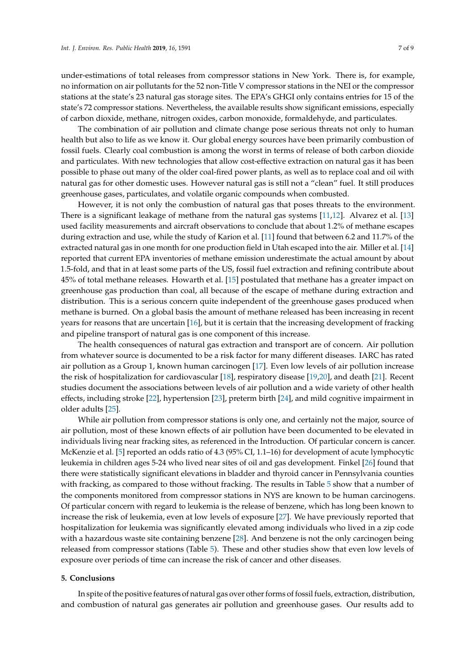under-estimations of total releases from compressor stations in New York. There is, for example, no information on air pollutants for the 52 non-Title V compressor stations in the NEI or the compressor stations at the state's 23 natural gas storage sites. The EPA's GHGI only contains entries for 15 of the state's 72 compressor stations. Nevertheless, the available results show significant emissions, especially of carbon dioxide, methane, nitrogen oxides, carbon monoxide, formaldehyde, and particulates.

The combination of air pollution and climate change pose serious threats not only to human health but also to life as we know it. Our global energy sources have been primarily combustion of fossil fuels. Clearly coal combustion is among the worst in terms of release of both carbon dioxide and particulates. With new technologies that allow cost-effective extraction on natural gas it has been possible to phase out many of the older coal-fired power plants, as well as to replace coal and oil with natural gas for other domestic uses. However natural gas is still not a "clean" fuel. It still produces greenhouse gases, particulates, and volatile organic compounds when combusted.

However, it is not only the combustion of natural gas that poses threats to the environment. There is a significant leakage of methane from the natural gas systems [\[11,](#page-7-10)[12\]](#page-7-11). Alvarez et al. [\[13\]](#page-7-12) used facility measurements and aircraft observations to conclude that about 1.2% of methane escapes during extraction and use, while the study of Karion et al. [\[11\]](#page-7-10) found that between 6.2 and 11.7% of the extracted natural gas in one month for one production field in Utah escaped into the air. Miller et al. [\[14\]](#page-7-13) reported that current EPA inventories of methane emission underestimate the actual amount by about 1.5-fold, and that in at least some parts of the US, fossil fuel extraction and refining contribute about 45% of total methane releases. Howarth et al. [\[15\]](#page-7-14) postulated that methane has a greater impact on greenhouse gas production than coal, all because of the escape of methane during extraction and distribution. This is a serious concern quite independent of the greenhouse gases produced when methane is burned. On a global basis the amount of methane released has been increasing in recent years for reasons that are uncertain [\[16\]](#page-8-0), but it is certain that the increasing development of fracking and pipeline transport of natural gas is one component of this increase.

The health consequences of natural gas extraction and transport are of concern. Air pollution from whatever source is documented to be a risk factor for many different diseases. IARC has rated air pollution as a Group 1, known human carcinogen [\[17\]](#page-8-1). Even low levels of air pollution increase the risk of hospitalization for cardiovascular [\[18\]](#page-8-2), respiratory disease [\[19](#page-8-3)[,20\]](#page-8-4), and death [\[21\]](#page-8-5). Recent studies document the associations between levels of air pollution and a wide variety of other health effects, including stroke [\[22\]](#page-8-6), hypertension [\[23\]](#page-8-7), preterm birth [\[24\]](#page-8-8), and mild cognitive impairment in older adults [\[25\]](#page-8-9).

While air pollution from compressor stations is only one, and certainly not the major, source of air pollution, most of these known effects of air pollution have been documented to be elevated in individuals living near fracking sites, as referenced in the Introduction. Of particular concern is cancer. McKenzie et al. [\[5\]](#page-7-4) reported an odds ratio of 4.3 (95% CI, 1.1–16) for development of acute lymphocytic leukemia in children ages 5-24 who lived near sites of oil and gas development. Finkel [\[26\]](#page-8-10) found that there were statistically significant elevations in bladder and thyroid cancer in Pennsylvania counties with fracking, as compared to those without fracking. The results in Table [5](#page-5-0) show that a number of the components monitored from compressor stations in NYS are known to be human carcinogens. Of particular concern with regard to leukemia is the release of benzene, which has long been known to increase the risk of leukemia, even at low levels of exposure [\[27\]](#page-8-11). We have previously reported that hospitalization for leukemia was significantly elevated among individuals who lived in a zip code with a hazardous waste site containing benzene [\[28\]](#page-8-12). And benzene is not the only carcinogen being released from compressor stations (Table [5\)](#page-5-0). These and other studies show that even low levels of exposure over periods of time can increase the risk of cancer and other diseases.

### **5. Conclusions**

In spite of the positive features of natural gas over other forms of fossil fuels, extraction, distribution, and combustion of natural gas generates air pollution and greenhouse gases. Our results add to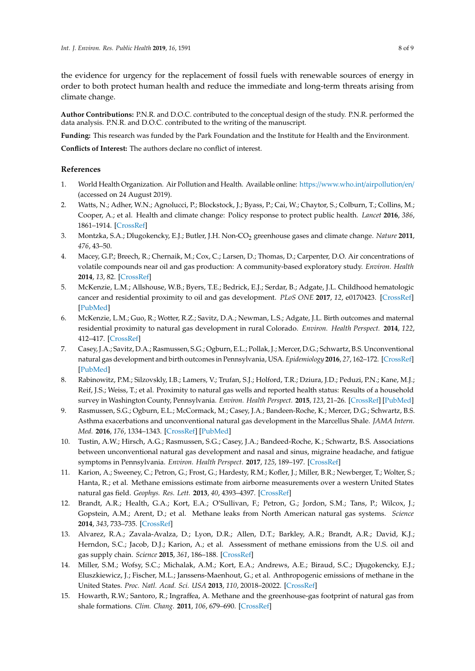the evidence for urgency for the replacement of fossil fuels with renewable sources of energy in order to both protect human health and reduce the immediate and long-term threats arising from climate change.

**Author Contributions:** P.N.R. and D.O.C. contributed to the conceptual design of the study. P.N.R. performed the data analysis. P.N.R. and D.O.C. contributed to the writing of the manuscript.

**Funding:** This research was funded by the Park Foundation and the Institute for Health and the Environment.

**Conflicts of Interest:** The authors declare no conflict of interest.

### **References**

- <span id="page-7-0"></span>1. World Health Organization. Air Pollution and Health. Available online: https://[www.who.int](https://www.who.int/airpollution/en/)/airpollution/en/ (accessed on 24 August 2019).
- <span id="page-7-1"></span>2. Watts, N.; Adher, W.N.; Agnolucci, P.; Blockstock, J.; Byass, P.; Cai, W.; Chaytor, S.; Colburn, T.; Collins, M.; Cooper, A.; et al. Health and climate change: Policy response to protect public health. *Lancet* **2016**, *386*, 1861–1914. [\[CrossRef\]](http://dx.doi.org/10.1016/S0140-6736(15)60854-6)
- <span id="page-7-2"></span>3. Montzka, S.A.; Dlugokencky, E.J.; Butler, J.H. Non-CO<sup>2</sup> greenhouse gases and climate change. *Nature* **2011**, *476*, 43–50.
- <span id="page-7-3"></span>4. Macey, G.P.; Breech, R.; Chernaik, M.; Cox, C.; Larsen, D.; Thomas, D.; Carpenter, D.O. Air concentrations of volatile compounds near oil and gas production: A community-based exploratory study. *Environ. Health* **2014**, *13*, 82. [\[CrossRef\]](http://dx.doi.org/10.1186/1476-069X-13-82)
- <span id="page-7-4"></span>5. McKenzie, L.M.; Allshouse, W.B.; Byers, T.E.; Bedrick, E.J.; Serdar, B.; Adgate, J.L. Childhood hematologic cancer and residential proximity to oil and gas development. *PLoS ONE* **2017**, *12*, e0170423. [\[CrossRef\]](http://dx.doi.org/10.1371/journal.pone.0170423) [\[PubMed\]](http://www.ncbi.nlm.nih.gov/pubmed/28199334)
- <span id="page-7-5"></span>6. McKenzie, L.M.; Guo, R.; Wotter, R.Z.; Savitz, D.A.; Newman, L.S.; Adgate, J.L. Birth outcomes and maternal residential proximity to natural gas development in rural Colorado. *Environ. Health Perspect.* **2014**, *122*, 412–417. [\[CrossRef\]](http://dx.doi.org/10.1289/ehp.1306722)
- <span id="page-7-6"></span>7. Casey, J.A.; Savitz, D.A.; Rasmussen, S.G.; Ogburn, E.L.; Pollak, J.; Mercer, D.G.; Schwartz, B.S. Unconventional natural gas development and birth outcomes in Pennsylvania, USA. *Epidemiology* **2016**, *27*, 162–172. [\[CrossRef\]](http://dx.doi.org/10.1097/EDE.0000000000000387) [\[PubMed\]](http://www.ncbi.nlm.nih.gov/pubmed/26426945)
- <span id="page-7-7"></span>8. Rabinowitz, P.M.; Silzovskly, I.B.; Lamers, V.; Trufan, S.J.; Holford, T.R.; Dziura, J.D.; Peduzi, P.N.; Kane, M.J.; Reif, J.S.; Weiss, T.; et al. Proximity to natural gas wells and reported health status: Results of a household survey in Washington County, Pennsylvania. *Environ. Health Perspect.* **2015**, *123*, 21–26. [\[CrossRef\]](http://dx.doi.org/10.1289/ehp.1307732) [\[PubMed\]](http://www.ncbi.nlm.nih.gov/pubmed/25204871)
- <span id="page-7-8"></span>9. Rasmussen, S.G.; Ogburn, E.L.; McCormack, M.; Casey, J.A.; Bandeen-Roche, K.; Mercer, D.G.; Schwartz, B.S. Asthma exacerbations and unconventional natural gas development in the Marcellus Shale. *JAMA Intern. Med.* **2016**, *176*, 1334–1343. [\[CrossRef\]](http://dx.doi.org/10.1001/jamainternmed.2016.2436) [\[PubMed\]](http://www.ncbi.nlm.nih.gov/pubmed/27428612)
- <span id="page-7-9"></span>10. Tustin, A.W.; Hirsch, A.G.; Rasmussen, S.G.; Casey, J.A.; Bandeed-Roche, K.; Schwartz, B.S. Associations between unconventional natural gas development and nasal and sinus, migraine headache, and fatigue symptoms in Pennsylvania. *Environ. Health Perspect.* **2017**, *125*, 189–197. [\[CrossRef\]](http://dx.doi.org/10.1289/EHP281)
- <span id="page-7-10"></span>11. Karion, A.; Sweeney, C.; Petron, G.; Frost, G.; Hardesty, R.M.; Kofler, J.; Miller, B.R.; Newberger, T.; Wolter, S.; Hanta, R.; et al. Methane emissions estimate from airborne measurements over a western United States natural gas field. *Geophys. Res. Lett.* **2013**, *40*, 4393–4397. [\[CrossRef\]](http://dx.doi.org/10.1002/grl.50811)
- <span id="page-7-11"></span>12. Brandt, A.R.; Health, G.A.; Kort, E.A.; O'Sullivan, F.; Petron, G.; Jordon, S.M.; Tans, P.; Wilcox, J.; Gopstein, A.M.; Arent, D.; et al. Methane leaks from North American natural gas systems. *Science* **2014**, *343*, 733–735. [\[CrossRef\]](http://dx.doi.org/10.1126/science.1247045)
- <span id="page-7-12"></span>13. Alvarez, R.A.; Zavala-Avalza, D.; Lyon, D.R.; Allen, D.T.; Barkley, A.R.; Brandt, A.R.; David, K.J.; Herndon, S.C.; Jacob, D.J.; Karion, A.; et al. Assessment of methane emissions from the U.S. oil and gas supply chain. *Science* **2015**, *361*, 186–188. [\[CrossRef\]](http://dx.doi.org/10.1126/science.aar7204)
- <span id="page-7-13"></span>14. Miller, S.M.; Wofsy, S.C.; Michalak, A.M.; Kort, E.A.; Andrews, A.E.; Biraud, S.C.; Djugokencky, E.J.; Eluszkiewicz, J.; Fischer, M.L.; Janssens-Maenhout, G.; et al. Anthropogenic emissions of methane in the United States. *Proc. Natl. Acad. Sci. USA* **2013**, *110*, 20018–20022. [\[CrossRef\]](http://dx.doi.org/10.1073/pnas.1314392110)
- <span id="page-7-14"></span>15. Howarth, R.W.; Santoro, R.; Ingraffea, A. Methane and the greenhouse-gas footprint of natural gas from shale formations. *Clim. Chang.* **2011**, *106*, 679–690. [\[CrossRef\]](http://dx.doi.org/10.1007/s10584-011-0061-5)